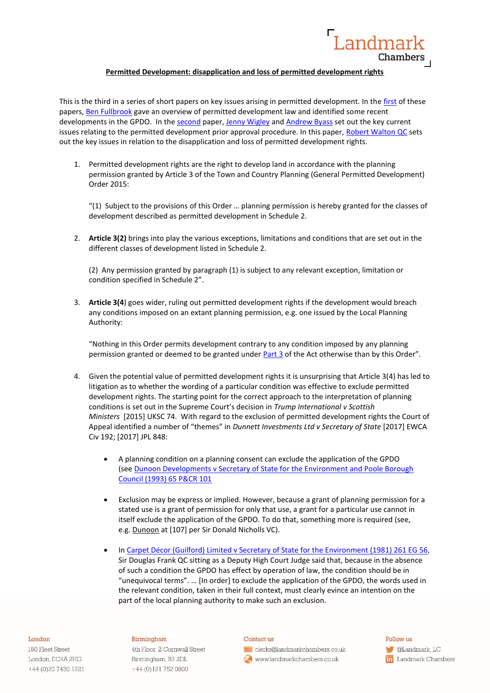

# **Permitted Development: disapplication and loss of permitted development rights**

This is the third in a series of short papers on key issues arising in permitted development. In the [first](https://www.landmarkchambers.co.uk/permitted-development-key-issues/) of these papers, [Ben Fullbrook](https://www.landmarkchambers.co.uk/people/ben-fullbrook/) gave an overview of permitted development law and identified some recent developments in the GPDO. In the [second](https://www.landmarkchambers.co.uk/permitted-development-rights-prior-approval/) paper, [Jenny Wigley](https://www.landmarkchambers.co.uk/people/jenny-wigley/) and [Andrew Byass](https://www.landmarkchambers.co.uk/people/andrew-byass/) set out the key current issues relating to the permitted development prior approval procedure. In this paper, [Robert Walton QC](https://www.landmarkchambers.co.uk/people/robert-walton-qc/) sets out the key issues in relation to the disapplication and loss of permitted development rights.

1. Permitted development rights are the right to develop land in accordance with the planning permission granted by Article 3 of the Town and Country Planning (General Permitted Development) Order 2015:

"(1) Subject to the provisions of this Order … planning permission is hereby granted for the classes of development described as permitted development in Schedule 2.

2. **Article 3(2)** brings into play the various exceptions, limitations and conditions that are set out in the different classes of development listed in Schedule 2.

(2) Any permission granted by paragraph (1) is subject to any relevant exception, limitation or condition specified in Schedule 2".

3. **Article 3(4**) goes wider, ruling out permitted development rights if the development would breach any conditions imposed on an extant planning permission, e.g. one issued by the Local Planning Authority:

"Nothing in this Order permits development contrary to any condition imposed by any planning permission granted or deemed to be granted under [Part 3](https://uk.westlaw.com/Document/I112648A0E44C11DA8D70A0E70A78ED65/View/FullText.html?originationContext=document&transitionType=DocumentItem&contextData=(sc.DocLink)) of the Act otherwise than by this Order".

- 4. Given the potential value of permitted development rights it is unsurprising that Article 3(4) has led to litigation as to whether the wording of a particular condition was effective to exclude permitted development rights. The starting point for the correct approach to the interpretation of planning conditions is set out in the Supreme Court's decision in *Trump International v Scottish Ministers* [2015] UKSC 74. With regard to the exclusion of permitted development rights the Court of Appeal identified a number of "themes" in *Dunnett Investments Ltd v Secretary of State* [2017] EWCA Civ 192; [2017] JPL 848:
	- A planning condition on a planning consent can exclude the application of the GPDO (see [Dunoon Developments v Secretary of State for the Environment and Poole Borough](https://uk.westlaw.com/Document/I9C531900E42711DA8FC2A0F0355337E9/View/FullText.html?originationContext=document&transitionType=DocumentItem&contextData=(sc.Search))  [Council \(1993\) 65 P&CR 101](https://uk.westlaw.com/Document/I9C531900E42711DA8FC2A0F0355337E9/View/FullText.html?originationContext=document&transitionType=DocumentItem&contextData=(sc.Search))
	- Exclusion may be express or implied. However, because a grant of planning permission for a stated use is a grant of permission for only that use, a grant for a particular use cannot in itself exclude the application of the GPDO. To do that, something more is required (see, e.g. Dunoon at [107] per Sir Donald Nicholls VC).
	- In [Carpet Décor \(Guilford\) Limited v Secretary of State for the Environment \(1981\) 261 EG 56,](https://uk.westlaw.com/Document/I4EF9C690E43611DA8FC2A0F0355337E9/View/FullText.html?originationContext=document&transitionType=DocumentItem&contextData=(sc.Search)) Sir Douglas Frank QC sitting as a Deputy High Court Judge said that, because in the absence of such a condition the GPDO has effect by operation of law, the condition should be in "unequivocal terms". … [In order] to exclude the application of the GPDO, the words used in the relevant condition, taken in their full context, must clearly evince an intention on the part of the local planning authority to make such an exclusion.

#### London

180 Fleet Street London, EC4A 2HG +44 (0) 20 7430 1221

## Birmingham

4th Floor, 2 Cornwall Street Birmingham, B3 2DL +44 (0)121 752 0800

#### Contact us

clerks@landmarkchambers.co.uk www.landmarkchambers.co.uk

 $F_0$ llow  $n$ s **C**Landmark\_LC in Landmark Chambers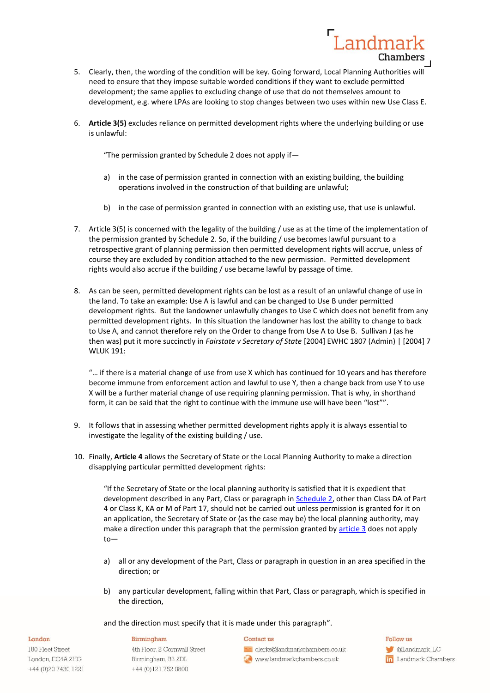

Landmar

**Chambers** 

6. **Article 3(5)** excludes reliance on permitted development rights where the underlying building or use is unlawful:

"The permission granted by Schedule 2 does not apply if—

- a) in the case of permission granted in connection with an existing building, the building operations involved in the construction of that building are unlawful;
- b) in the case of permission granted in connection with an existing use, that use is unlawful.
- 7. Article 3(5) is concerned with the legality of the building / use as at the time of the implementation of the permission granted by Schedule 2. So, if the building / use becomes lawful pursuant to a retrospective grant of planning permission then permitted development rights will accrue, unless of course they are excluded by condition attached to the new permission. Permitted development rights would also accrue if the building / use became lawful by passage of time.
- 8. As can be seen, permitted development rights can be lost as a result of an unlawful change of use in the land. To take an example: Use A is lawful and can be changed to Use B under permitted development rights. But the landowner unlawfully changes to Use C which does not benefit from any permitted development rights. In this situation the landowner has lost the ability to change to back to Use A, and cannot therefore rely on the Order to change from Use A to Use B. Sullivan J (as he then was) put it more succinctly in *Fairstate v Secretary of State* [2004] EWHC 1807 (Admin) | [2004] 7 WLUK 191:

"… if there is a material change of use from use X which has continued for 10 years and has therefore become immune from enforcement action and lawful to use Y, then a change back from use Y to use X will be a further material change of use requiring planning permission. That is why, in shorthand form, it can be said that the right to continue with the immune use will have been "lost"".

- 9. It follows that in assessing whether permitted development rights apply it is always essential to investigate the legality of the existing building / use.
- 10. Finally, **Article 4** allows the Secretary of State or the Local Planning Authority to make a direction disapplying particular permitted development rights:

"If the Secretary of State or the local planning authority is satisfied that it is expedient that development described in any Part, Class or paragraph in [Schedule 2,](https://uk.westlaw.com/Document/I846A42E0D82A11E4AE5DA36A3DA01F57/View/FullText.html?originationContext=document&transitionType=DocumentItem&contextData=(sc.DocLink)) other than Class DA of Part 4 or Class K, KA or M of Part 17, should not be carried out unless permission is granted for it on an application, the Secretary of State or (as the case may be) the local planning authority, may make a direction under this paragraph that the permission granted by [article 3](https://uk.westlaw.com/Document/I8464EBB0D82A11E4AE5DA36A3DA01F57/View/FullText.html?originationContext=document&transitionType=DocumentItem&contextData=(sc.DocLink)) does not apply to—

- a) all or any development of the Part, Class or paragraph in question in an area specified in the direction; or
- b) any particular development, falling within that Part, Class or paragraph, which is specified in the direction,

and the direction must specify that it is made under this paragraph".

## Birmingham

180 Fleet Street London, EC4A 2HG +44 (0) 20 7430 1221

London

4th Floor, 2 Cornwall Street Birmingham, B3 2DL +44 (0)121 752 0800

# Contact us

clerks@landmarkchambers.co.uk www.landmarkchambers.co.uk